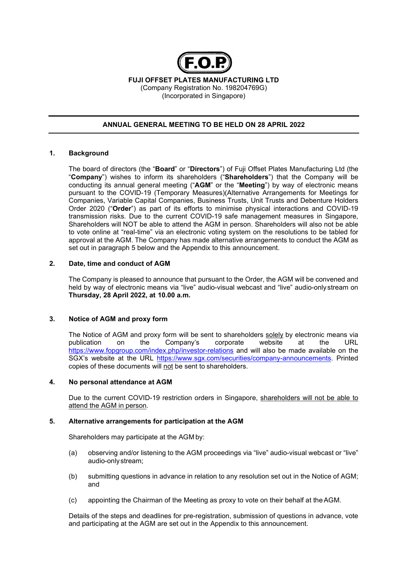

FUJI OFFSET PLATES MANUFACTURING LTD (Company Registration No. 198204769G) (Incorporated in Singapore)

# ANNUAL GENERAL MEETING TO BE HELD ON 28 APRIL 2022

### 1. Background

The board of directors (the "Board" or "Directors") of Fuji Offset Plates Manufacturing Ltd (the "Company") wishes to inform its shareholders ("Shareholders") that the Company will be conducting its annual general meeting ("AGM" or the "Meeting") by way of electronic means pursuant to the COVID-19 (Temporary Measures)(Alternative Arrangements for Meetings for Companies, Variable Capital Companies, Business Trusts, Unit Trusts and Debenture Holders Order 2020 ("Order") as part of its efforts to minimise physical interactions and COVID-19 transmission risks. Due to the current COVID-19 safe management measures in Singapore, Shareholders will NOT be able to attend the AGM in person. Shareholders will also not be able to vote online at "real-time" via an electronic voting system on the resolutions to be tabled for approval at the AGM. The Company has made alternative arrangements to conduct the AGM as set out in paragraph 5 below and the Appendix to this announcement.

### 2. Date, time and conduct of AGM

The Company is pleased to announce that pursuant to the Order, the AGM will be convened and held by way of electronic means via "live" audio-visual webcast and "live" audio-only stream on Thursday, 28 April 2022, at 10.00 a.m.

### 3. Notice of AGM and proxy form

The Notice of AGM and proxy form will be sent to shareholders solely by electronic means via publication on the Company's corporate website at the URL https://www.fopgroup.com/index.php/investor-relations and will also be made available on the SGX's website at the URL https://www.sgx.com/securities/company-announcements. Printed copies of these documents will not be sent to shareholders.

### 4. No personal attendance at AGM

Due to the current COVID-19 restriction orders in Singapore, shareholders will not be able to attend the AGM in person.

### 5. Alternative arrangements for participation at the AGM

Shareholders may participate at the AGM by:

- (a) observing and/or listening to the AGM proceedings via "live" audio-visual webcast or "live" audio-only stream;
- (b) submitting questions in advance in relation to any resolution set out in the Notice of AGM; and
- (c) appointing the Chairman of the Meeting as proxy to vote on their behalf at the AGM.

Details of the steps and deadlines for pre-registration, submission of questions in advance, vote and participating at the AGM are set out in the Appendix to this announcement.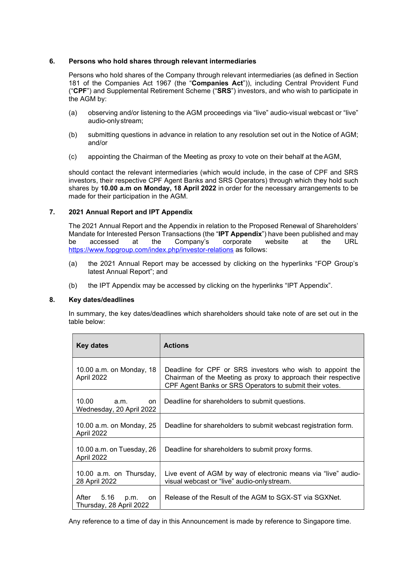### 6. Persons who hold shares through relevant intermediaries

Persons who hold shares of the Company through relevant intermediaries (as defined in Section 181 of the Companies Act 1967 (the "Companies Act")), including Central Provident Fund ("CPF") and Supplemental Retirement Scheme ("SRS") investors, and who wish to participate in the AGM by:

- (a) observing and/or listening to the AGM proceedings via "live" audio-visual webcast or "live" audio-only stream;
- (b) submitting questions in advance in relation to any resolution set out in the Notice of AGM; and/or
- (c) appointing the Chairman of the Meeting as proxy to vote on their behalf at the AGM,

should contact the relevant intermediaries (which would include, in the case of CPF and SRS investors, their respective CPF Agent Banks and SRS Operators) through which they hold such shares by 10.00 a.m on Monday, 18 April 2022 in order for the necessary arrangements to be made for their participation in the AGM.

### 7. 2021 Annual Report and IPT Appendix

The 2021 Annual Report and the Appendix in relation to the Proposed Renewal of Shareholders' Mandate for Interested Person Transactions (the "IPT Appendix") have been published and may be accessed at the Company's corporate website at the URL https://www.fopgroup.com/index.php/investor-relations as follows:

- (a) the 2021 Annual Report may be accessed by clicking on the hyperlinks "FOP Group's latest Annual Report"; and
- (b) the IPT Appendix may be accessed by clicking on the hyperlinks "IPT Appendix".

### 8. Key dates/deadlines

In summary, the key dates/deadlines which shareholders should take note of are set out in the table below:

| Key dates                                              | <b>Actions</b>                                                                                                                                                                        |
|--------------------------------------------------------|---------------------------------------------------------------------------------------------------------------------------------------------------------------------------------------|
| 10.00 a.m. on Monday, $18$<br>April 2022               | Deadline for CPF or SRS investors who wish to appoint the<br>Chairman of the Meeting as proxy to approach their respective<br>CPF Agent Banks or SRS Operators to submit their votes. |
| 10.00<br>a.m.<br>on<br>Wednesday, 20 April 2022        | Deadline for shareholders to submit questions.                                                                                                                                        |
| 10.00 a.m. on Monday, 25<br>April 2022                 | Deadline for shareholders to submit webcast registration form.                                                                                                                        |
| 10.00 a.m. on Tuesday, 26<br>April 2022                | Deadline for shareholders to submit proxy forms.                                                                                                                                      |
| 10.00 a.m. on Thursday,<br>28 April 2022               | Live event of AGM by way of electronic means via "live" audio-<br>visual webcast or "live" audio-only stream.                                                                         |
| After<br>5.16<br>p.m.<br>on<br>Thursday, 28 April 2022 | Release of the Result of the AGM to SGX-ST via SGXNet.                                                                                                                                |

Any reference to a time of day in this Announcement is made by reference to Singapore time.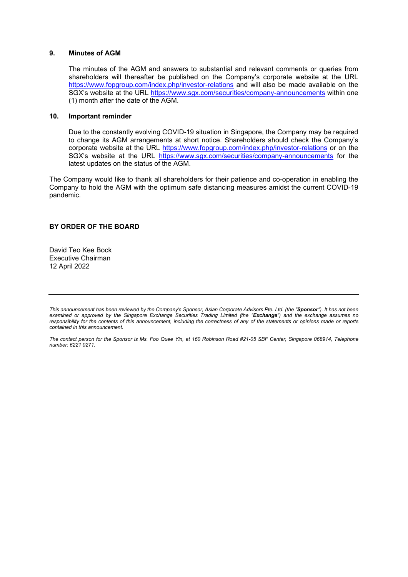### 9. Minutes of AGM

The minutes of the AGM and answers to substantial and relevant comments or queries from shareholders will thereafter be published on the Company's corporate website at the URL https://www.fopgroup.com/index.php/investor-relations and will also be made available on the SGX's website at the URL https://www.sgx.com/securities/company-announcements within one (1) month after the date of the AGM.

## 10. Important reminder

Due to the constantly evolving COVID-19 situation in Singapore, the Company may be required to change its AGM arrangements at short notice. Shareholders should check the Company's corporate website at the URL https://www.fopgroup.com/index.php/investor-relations or on the SGX's website at the URL https://www.sgx.com/securities/company-announcements for the latest updates on the status of the AGM.

The Company would like to thank all shareholders for their patience and co-operation in enabling the Company to hold the AGM with the optimum safe distancing measures amidst the current COVID-19 pandemic.

### BY ORDER OF THE BOARD

David Teo Kee Bock Executive Chairman 12 April 2022

The contact person for the Sponsor is Ms. Foo Quee Yin, at 160 Robinson Road #21-05 SBF Center, Singapore 068914, Telephone number: 6221 0271.

This announcement has been reviewed by the Company's Sponsor, Asian Corporate Advisors Pte. Ltd. (the "Sponsor"). It has not been examined or approved by the Singapore Exchange Securities Trading Limited (the "Exchange") and the exchange assumes no responsibility for the contents of this announcement, including the correctness of any of the statements or opinions made or reports contained in this announcement.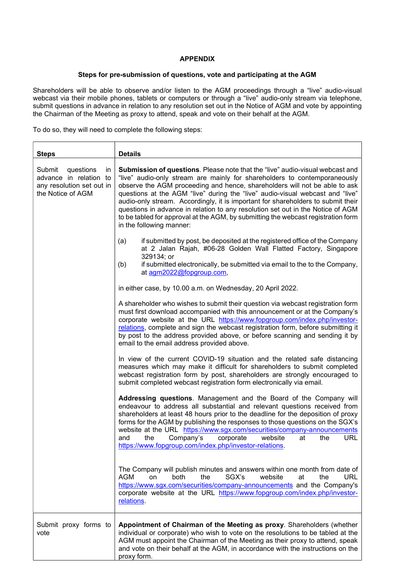# APPENDIX

# Steps for pre-submission of questions, vote and participating at the AGM

Shareholders will be able to observe and/or listen to the AGM proceedings through a "live" audio-visual webcast via their mobile phones, tablets or computers or through a "live" audio-only stream via telephone, submit questions in advance in relation to any resolution set out in the Notice of AGM and vote by appointing the Chairman of the Meeting as proxy to attend, speak and vote on their behalf at the AGM.

To do so, they will need to complete the following steps:

| <b>Steps</b>                                                                                          | <b>Details</b>                                                                                                                                                                                                                                                                                                                                                                                                                                                                                                                                                                                                    |
|-------------------------------------------------------------------------------------------------------|-------------------------------------------------------------------------------------------------------------------------------------------------------------------------------------------------------------------------------------------------------------------------------------------------------------------------------------------------------------------------------------------------------------------------------------------------------------------------------------------------------------------------------------------------------------------------------------------------------------------|
| Submit<br>questions<br>in<br>advance in relation to<br>any resolution set out in<br>the Notice of AGM | Submission of questions. Please note that the "live" audio-visual webcast and<br>"live" audio-only stream are mainly for shareholders to contemporaneously<br>observe the AGM proceeding and hence, shareholders will not be able to ask<br>questions at the AGM "live" during the "live" audio-visual webcast and "live"<br>audio-only stream. Accordingly, it is important for shareholders to submit their<br>questions in advance in relation to any resolution set out in the Notice of AGM<br>to be tabled for approval at the AGM, by submitting the webcast registration form<br>in the following manner: |
|                                                                                                       | if submitted by post, be deposited at the registered office of the Company<br>(a)<br>at 2 Jalan Rajah, #06-28 Golden Wall Flatted Factory, Singapore<br>329134; or<br>(b)<br>if submitted electronically, be submitted via email to the to the Company,<br>at agm2022@fopgroup.com,                                                                                                                                                                                                                                                                                                                               |
|                                                                                                       | in either case, by 10.00 a.m. on Wednesday, 20 April 2022.                                                                                                                                                                                                                                                                                                                                                                                                                                                                                                                                                        |
|                                                                                                       | A shareholder who wishes to submit their question via webcast registration form<br>must first download accompanied with this announcement or at the Company's<br>corporate website at the URL https://www.fopgroup.com/index.php/investor-<br>relations, complete and sign the webcast registration form, before submitting it<br>by post to the address provided above, or before scanning and sending it by<br>email to the email address provided above.                                                                                                                                                       |
|                                                                                                       | In view of the current COVID-19 situation and the related safe distancing<br>measures which may make it difficult for shareholders to submit completed<br>webcast registration form by post, shareholders are strongly encouraged to<br>submit completed webcast registration form electronically via email.                                                                                                                                                                                                                                                                                                      |
|                                                                                                       | Addressing questions. Management and the Board of the Company will<br>endeavour to address all substantial and relevant questions received from<br>shareholders at least 48 hours prior to the deadline for the deposition of proxy<br>forms for the AGM by publishing the responses to those questions on the SGX's<br>website at the URL https://www.sgx.com/securities/company-announcements<br>website<br><b>URL</b><br>Company's<br>corporate<br>at<br>the<br>the<br>and<br>https://www.fopgroup.com/index.php/investor-relations.                                                                           |
|                                                                                                       | The Company will publish minutes and answers within one month from date of<br>SGX's<br><b>AGM</b><br>both<br>the<br>website<br>the<br><b>URL</b><br>on<br>at<br>https://www.sgx.com/securities/company-announcements and the Company's<br>corporate website at the URL https://www.fopgroup.com/index.php/investor-<br>relations.                                                                                                                                                                                                                                                                                 |
| Submit proxy forms to<br>vote                                                                         | Appointment of Chairman of the Meeting as proxy. Shareholders (whether<br>individual or corporate) who wish to vote on the resolutions to be tabled at the<br>AGM must appoint the Chairman of the Meeting as their proxy to attend, speak<br>and vote on their behalf at the AGM, in accordance with the instructions on the<br>proxy form.                                                                                                                                                                                                                                                                      |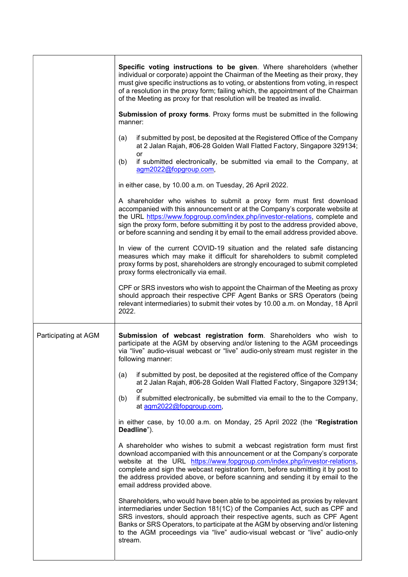|                      | Specific voting instructions to be given. Where shareholders (whether<br>individual or corporate) appoint the Chairman of the Meeting as their proxy, they<br>must give specific instructions as to voting, or abstentions from voting, in respect<br>of a resolution in the proxy form; failing which, the appointment of the Chairman<br>of the Meeting as proxy for that resolution will be treated as invalid.                        |
|----------------------|-------------------------------------------------------------------------------------------------------------------------------------------------------------------------------------------------------------------------------------------------------------------------------------------------------------------------------------------------------------------------------------------------------------------------------------------|
|                      | Submission of proxy forms. Proxy forms must be submitted in the following<br>manner:                                                                                                                                                                                                                                                                                                                                                      |
|                      | if submitted by post, be deposited at the Registered Office of the Company<br>(a)<br>at 2 Jalan Rajah, #06-28 Golden Wall Flatted Factory, Singapore 329134;                                                                                                                                                                                                                                                                              |
|                      | or<br>if submitted electronically, be submitted via email to the Company, at<br>(b)<br>agm2022@fopgroup.com,                                                                                                                                                                                                                                                                                                                              |
|                      | in either case, by 10.00 a.m. on Tuesday, 26 April 2022.                                                                                                                                                                                                                                                                                                                                                                                  |
|                      | A shareholder who wishes to submit a proxy form must first download<br>accompanied with this announcement or at the Company's corporate website at<br>the URL https://www.fopgroup.com/index.php/investor-relations, complete and<br>sign the proxy form, before submitting it by post to the address provided above,<br>or before scanning and sending it by email to the email address provided above.                                  |
|                      | In view of the current COVID-19 situation and the related safe distancing<br>measures which may make it difficult for shareholders to submit completed<br>proxy forms by post, shareholders are strongly encouraged to submit completed<br>proxy forms electronically via email.                                                                                                                                                          |
|                      | CPF or SRS investors who wish to appoint the Chairman of the Meeting as proxy<br>should approach their respective CPF Agent Banks or SRS Operators (being<br>relevant intermediaries) to submit their votes by 10.00 a.m. on Monday, 18 April<br>2022.                                                                                                                                                                                    |
| Participating at AGM | Submission of webcast registration form. Shareholders who wish to<br>participate at the AGM by observing and/or listening to the AGM proceedings<br>via "live" audio-visual webcast or "live" audio-only stream must register in the<br>following manner:                                                                                                                                                                                 |
|                      | if submitted by post, be deposited at the registered office of the Company<br>(a)<br>at 2 Jalan Rajah, #06-28 Golden Wall Flatted Factory, Singapore 329134;<br><b>or</b>                                                                                                                                                                                                                                                                 |
|                      | if submitted electronically, be submitted via email to the to the Company,<br>(b)<br>at agm2022@fopgroup.com,                                                                                                                                                                                                                                                                                                                             |
|                      | in either case, by 10.00 a.m. on Monday, 25 April 2022 (the "Registration<br>Deadline").                                                                                                                                                                                                                                                                                                                                                  |
|                      | A shareholder who wishes to submit a webcast registration form must first<br>download accompanied with this announcement or at the Company's corporate<br>website at the URL https://www.fopgroup.com/index.php/investor-relations,<br>complete and sign the webcast registration form, before submitting it by post to<br>the address provided above, or before scanning and sending it by email to the<br>email address provided above. |
|                      |                                                                                                                                                                                                                                                                                                                                                                                                                                           |
|                      | Shareholders, who would have been able to be appointed as proxies by relevant<br>intermediaries under Section 181(1C) of the Companies Act, such as CPF and<br>SRS investors, should approach their respective agents, such as CPF Agent<br>Banks or SRS Operators, to participate at the AGM by observing and/or listening<br>to the AGM proceedings via "live" audio-visual webcast or "live" audio-only<br>stream.                     |